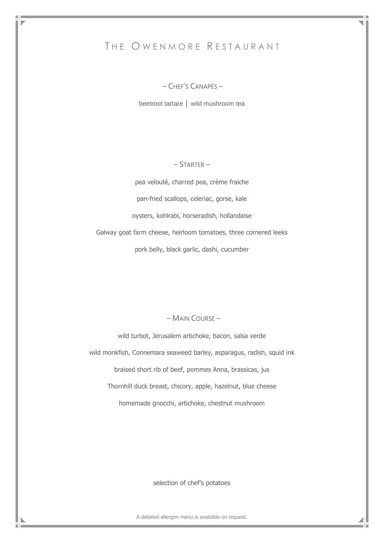# THE OWENMORE RESTAURANT

– CHEF'S CANAPÉS –

beetroot tartare │ wild mushroom tea

## – STARTER –

pea velouté, charred pea, crème fraiche pan-fried scallops, celeriac, gorse, kale oysters, kohlrabi, horseradish, hollandaise Galway goat farm cheese, heirloom tomatoes, three cornered leeks pork belly, black garlic, dashi, cucumber

## – MAIN COURSE –

wild turbot, Jerusalem artichoke, bacon, salsa verde wild monkfish, Connemara seaweed barley, asparagus, radish, squid ink braised short rib of beef, pommes Anna, brassicas, jus Thornhill duck breast, chicory, apple, hazelnut, blue cheese homemade gnocchi, artichoke, chestnut mushroom

selection of chef's potatoes

A detailed allergen menu is available on request.